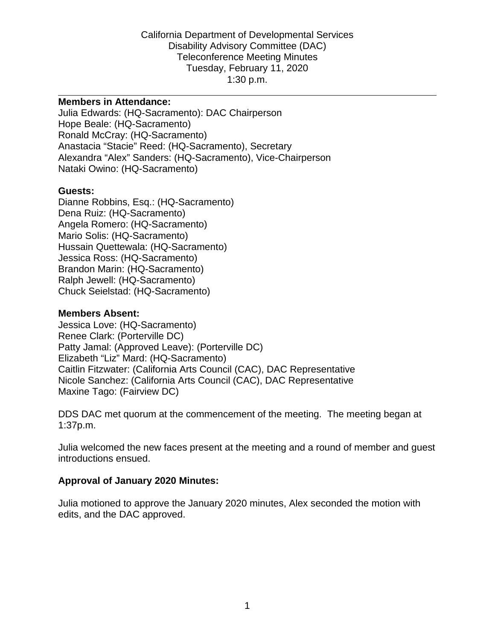#### **Members in Attendance:**

Julia Edwards: (HQ-Sacramento): DAC Chairperson Hope Beale: (HQ-Sacramento) Ronald McCray: (HQ-Sacramento) Anastacia "Stacie" Reed: (HQ-Sacramento), Secretary Alexandra "Alex" Sanders: (HQ-Sacramento), Vice-Chairperson Nataki Owino: (HQ-Sacramento)

#### **Guests:**

Dianne Robbins, Esq.: (HQ-Sacramento) Dena Ruiz: (HQ-Sacramento) Angela Romero: (HQ-Sacramento) Mario Solis: (HQ-Sacramento) Hussain Quettewala: (HQ-Sacramento) Jessica Ross: (HQ-Sacramento) Brandon Marin: (HQ-Sacramento) Ralph Jewell: (HQ-Sacramento) Chuck Seielstad: (HQ-Sacramento)

#### **Members Absent:**

Jessica Love: (HQ-Sacramento) Renee Clark: (Porterville DC) Patty Jamal: (Approved Leave): (Porterville DC) Elizabeth "Liz" Mard: (HQ-Sacramento) Caitlin Fitzwater: (California Arts Council (CAC), DAC Representative Nicole Sanchez: (California Arts Council (CAC), DAC Representative Maxine Tago: (Fairview DC)

DDS DAC met quorum at the commencement of the meeting. The meeting began at 1:37p.m.

Julia welcomed the new faces present at the meeting and a round of member and guest introductions ensued.

#### **Approval of January 2020 Minutes:**

Julia motioned to approve the January 2020 minutes, Alex seconded the motion with edits, and the DAC approved.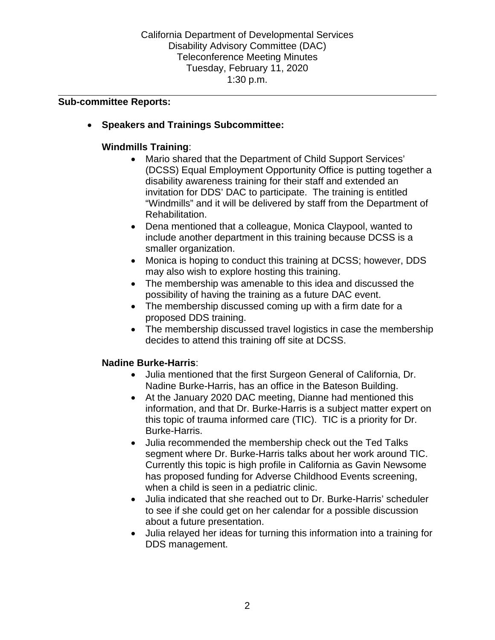### **Sub-committee Reports:**

• **Speakers and Trainings Subcommittee:**

## **Windmills Training**:

- Mario shared that the Department of Child Support Services' (DCSS) Equal Employment Opportunity Office is putting together a disability awareness training for their staff and extended an invitation for DDS' DAC to participate. The training is entitled "Windmills" and it will be delivered by staff from the Department of Rehabilitation.
- Dena mentioned that a colleague, Monica Claypool, wanted to include another department in this training because DCSS is a smaller organization.
- Monica is hoping to conduct this training at DCSS; however, DDS may also wish to explore hosting this training.
- The membership was amenable to this idea and discussed the possibility of having the training as a future DAC event.
- The membership discussed coming up with a firm date for a proposed DDS training.
- The membership discussed travel logistics in case the membership decides to attend this training off site at DCSS.

## **Nadine Burke-Harris**:

- Julia mentioned that the first Surgeon General of California, Dr. Nadine Burke-Harris, has an office in the Bateson Building.
- At the January 2020 DAC meeting, Dianne had mentioned this information, and that Dr. Burke-Harris is a subject matter expert on this topic of trauma informed care (TIC). TIC is a priority for Dr. Burke-Harris.
- Julia recommended the membership check out the Ted Talks segment where Dr. Burke-Harris talks about her work around TIC. Currently this topic is high profile in California as Gavin Newsome has proposed funding for Adverse Childhood Events screening, when a child is seen in a pediatric clinic.
- Julia indicated that she reached out to Dr. Burke-Harris' scheduler to see if she could get on her calendar for a possible discussion about a future presentation.
- Julia relayed her ideas for turning this information into a training for DDS management.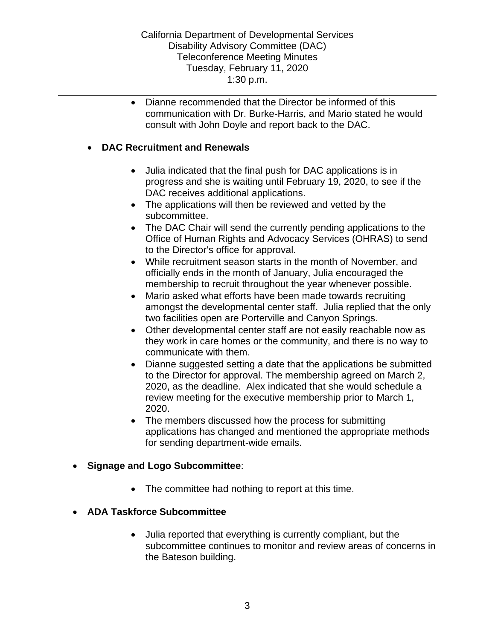• Dianne recommended that the Director be informed of this communication with Dr. Burke-Harris, and Mario stated he would consult with John Doyle and report back to the DAC.

### • **DAC Recruitment and Renewals**

- Julia indicated that the final push for DAC applications is in progress and she is waiting until February 19, 2020, to see if the DAC receives additional applications.
- The applications will then be reviewed and vetted by the subcommittee.
- The DAC Chair will send the currently pending applications to the Office of Human Rights and Advocacy Services (OHRAS) to send to the Director's office for approval.
- While recruitment season starts in the month of November, and officially ends in the month of January, Julia encouraged the membership to recruit throughout the year whenever possible.
- Mario asked what efforts have been made towards recruiting amongst the developmental center staff. Julia replied that the only two facilities open are Porterville and Canyon Springs.
- Other developmental center staff are not easily reachable now as they work in care homes or the community, and there is no way to communicate with them.
- Dianne suggested setting a date that the applications be submitted to the Director for approval. The membership agreed on March 2, 2020, as the deadline. Alex indicated that she would schedule a review meeting for the executive membership prior to March 1, 2020.
- The members discussed how the process for submitting applications has changed and mentioned the appropriate methods for sending department-wide emails.

### • **Signage and Logo Subcommittee**:

• The committee had nothing to report at this time.

## • **ADA Taskforce Subcommittee**

• Julia reported that everything is currently compliant, but the subcommittee continues to monitor and review areas of concerns in the Bateson building.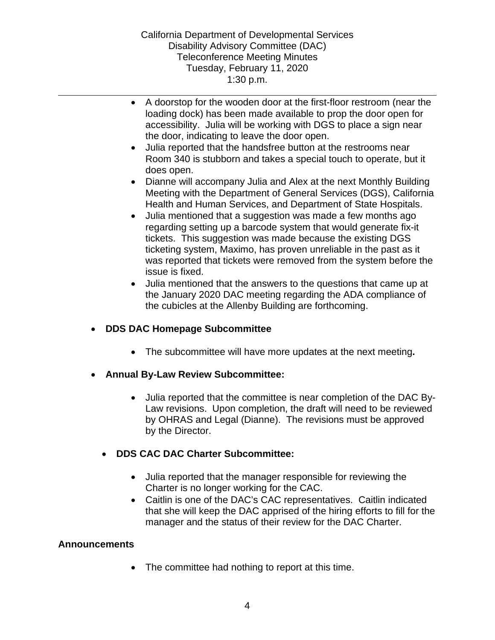- A doorstop for the wooden door at the first-floor restroom (near the loading dock) has been made available to prop the door open for accessibility. Julia will be working with DGS to place a sign near the door, indicating to leave the door open.
- Julia reported that the handsfree button at the restrooms near Room 340 is stubborn and takes a special touch to operate, but it does open.
- Dianne will accompany Julia and Alex at the next Monthly Building Meeting with the Department of General Services (DGS), California Health and Human Services, and Department of State Hospitals.
- Julia mentioned that a suggestion was made a few months ago regarding setting up a barcode system that would generate fix-it tickets. This suggestion was made because the existing DGS ticketing system, Maximo, has proven unreliable in the past as it was reported that tickets were removed from the system before the issue is fixed.
- Julia mentioned that the answers to the questions that came up at the January 2020 DAC meeting regarding the ADA compliance of the cubicles at the Allenby Building are forthcoming.

# • **DDS DAC Homepage Subcommittee**

- The subcommittee will have more updates at the next meeting**.**
- **Annual By-Law Review Subcommittee:**
	- Julia reported that the committee is near completion of the DAC By-Law revisions. Upon completion, the draft will need to be reviewed by OHRAS and Legal (Dianne). The revisions must be approved by the Director.

## • **DDS CAC DAC Charter Subcommittee:**

- Julia reported that the manager responsible for reviewing the Charter is no longer working for the CAC.
- Caitlin is one of the DAC's CAC representatives. Caitlin indicated that she will keep the DAC apprised of the hiring efforts to fill for the manager and the status of their review for the DAC Charter.

## **Announcements**

• The committee had nothing to report at this time.